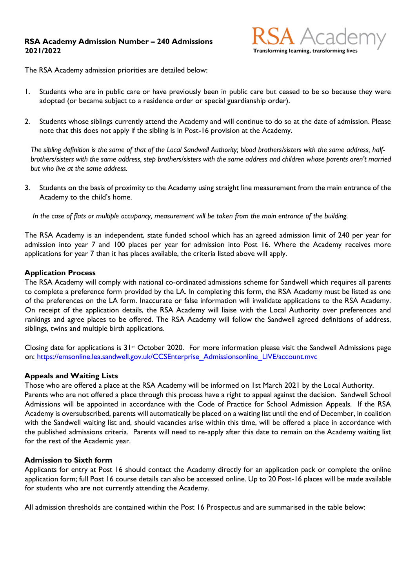## **RSA Academy Admission Number – 240 Admissions 2021/2022**



The RSA Academy admission priorities are detailed below:

- 1. Students who are in public care or have previously been in public care but ceased to be so because they were adopted (or became subject to a residence order or special guardianship order).
- 2. Students whose siblings currently attend the Academy and will continue to do so at the date of admission. Please note that this does not apply if the sibling is in Post-16 provision at the Academy.

 *The sibling definition is the same of that of the Local Sandwell Authority; blood brothers/sisters with the same address, half brothers/sisters with the same address, step brothers/sisters with the same address and children whose parents aren't married but who live at the same address.* 

3. Students on the basis of proximity to the Academy using straight line measurement from the main entrance of the Academy to the child's home.

 *In the case of flats or multiple occupancy, measurement will be taken from the main entrance of the building.* 

The RSA Academy is an independent, state funded school which has an agreed admission limit of 240 per year for admission into year 7 and 100 places per year for admission into Post 16. Where the Academy receives more applications for year 7 than it has places available, the criteria listed above will apply.

## **Application Process**

The RSA Academy will comply with national co-ordinated admissions scheme for Sandwell which requires all parents to complete a preference form provided by the LA. In completing this form, the RSA Academy must be listed as one of the preferences on the LA form. Inaccurate or false information will invalidate applications to the RSA Academy. On receipt of the application details, the RSA Academy will liaise with the Local Authority over preferences and rankings and agree places to be offered. The RSA Academy will follow the Sandwell agreed definitions of address, siblings, twins and multiple birth applications.

Closing date for applications is  $31st$  October 2020. For more information please visit the Sandwell Admissions page on: https://emsonline.lea.sandwell.gov.uk/CCSEnterprise\_Admissionsonline\_LIVE/account.mvc

## **Appeals and Waiting Lists**

Those who are offered a place at the RSA Academy will be informed on 1st March 2021 by the Local Authority. Parents who are not offered a place through this process have a right to appeal against the decision. Sandwell School Admissions will be appointed in accordance with the Code of Practice for School Admission Appeals. If the RSA Academy is oversubscribed, parents will automatically be placed on a waiting list until the end of December, in coalition with the Sandwell waiting list and, should vacancies arise within this time, will be offered a place in accordance with the published admissions criteria. Parents will need to re-apply after this date to remain on the Academy waiting list for the rest of the Academic year.

## **Admission to Sixth form**

Applicants for entry at Post 16 should contact the Academy directly for an application pack or complete the online application form; full Post 16 course details can also be accessed online. Up to 20 Post-16 places will be made available for students who are not currently attending the Academy.

All admission thresholds are contained within the Post 16 Prospectus and are summarised in the table below: